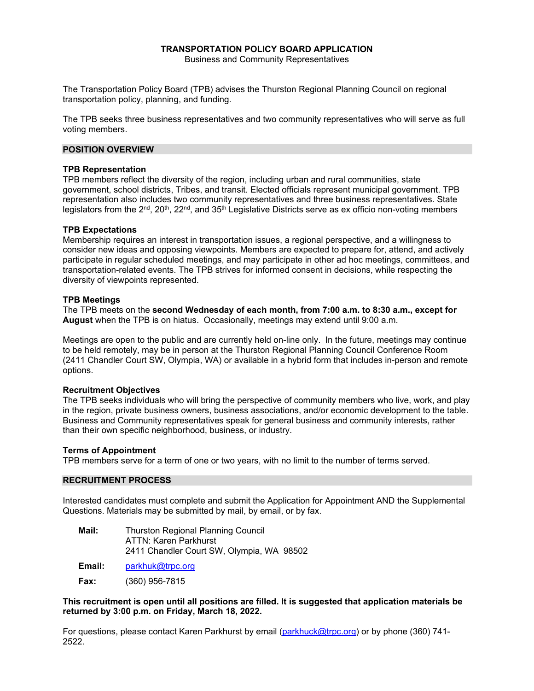### **TRANSPORTATION POLICY BOARD APPLICATION**  Business and Community Representatives

The Transportation Policy Board (TPB) advises the Thurston Regional Planning Council on regional transportation policy, planning, and funding.

The TPB seeks three business representatives and two community representatives who will serve as full voting members.

## **POSITION OVERVIEW**

### **TPB Representation**

TPB members reflect the diversity of the region, including urban and rural communities, state government, school districts, Tribes, and transit. Elected officials represent municipal government. TPB representation also includes two community representatives and three business representatives. State legislators from the  $2^{nd}$ ,  $20^{th}$ ,  $22^{nd}$ , and  $35^{th}$  Legislative Districts serve as ex officio non-voting members

### **TPB Expectations**

Membership requires an interest in transportation issues, a regional perspective, and a willingness to consider new ideas and opposing viewpoints. Members are expected to prepare for, attend, and actively participate in regular scheduled meetings, and may participate in other ad hoc meetings, committees, and transportation-related events. The TPB strives for informed consent in decisions, while respecting the diversity of viewpoints represented.

### **TPB Meetings**

The TPB meets on the **second Wednesday of each month, from 7:00 a.m. to 8:30 a.m., except for August** when the TPB is on hiatus.Occasionally, meetings may extend until 9:00 a.m.

Meetings are open to the public and are currently held on-line only. In the future, meetings may continue to be held remotely, may be in person at the Thurston Regional Planning Council Conference Room (2411 Chandler Court SW, Olympia, WA) or available in a hybrid form that includes in-person and remote options.

## **Recruitment Objectives**

The TPB seeks individuals who will bring the perspective of community members who live, work, and play in the region, private business owners, business associations, and/or economic development to the table. Business and Community representatives speak for general business and community interests, rather than their own specific neighborhood, business, or industry.

#### **Terms of Appointment**

TPB members serve for a term of one or two years, with no limit to the number of terms served.

# **RECRUITMENT PROCESS**

Interested candidates must complete and submit the Application for Appointment AND the Supplemental Questions. Materials may be submitted by mail, by email, or by fax.

| Mail: | <b>Thurston Regional Planning Council</b> |  |  |  |  |
|-------|-------------------------------------------|--|--|--|--|
|       | ATTN: Karen Parkhurst                     |  |  |  |  |
|       | 2411 Chandler Court SW, Olympia, WA 98502 |  |  |  |  |

**Email:** [parkhuk@trpc.org](mailto:parkhuk@trpc.org)

**Fax:** (360) 956-7815

**This recruitment is open until all positions are filled. It is suggested that application materials be returned by 3:00 p.m. on Friday, March 18, 2022.**

For questions, please contact Karen Parkhurst by email [\(parkhuck@trpc.org\)](mailto:parkhuck@trpc.org) or by phone (360) 741-2522.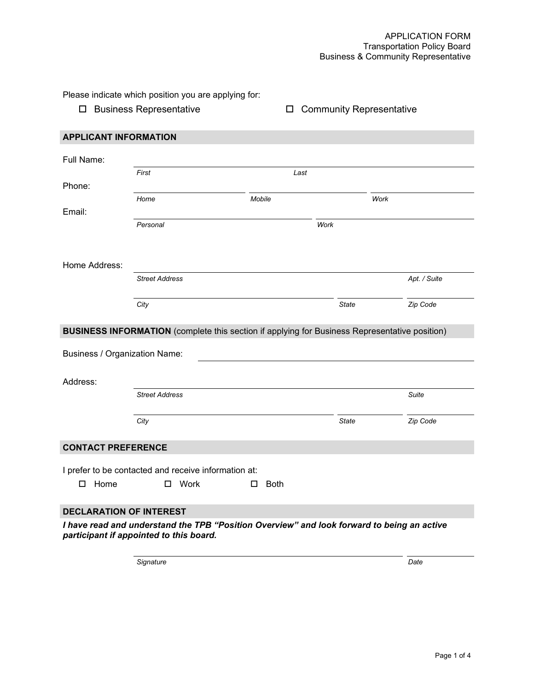Please indicate which position you are applying for:

□ Business Representative Community Representative

| <b>APPLICANT INFORMATION</b>                                                                                                          |                                                                                                      |                  |              |              |  |  |
|---------------------------------------------------------------------------------------------------------------------------------------|------------------------------------------------------------------------------------------------------|------------------|--------------|--------------|--|--|
| Full Name:                                                                                                                            |                                                                                                      |                  |              |              |  |  |
|                                                                                                                                       | First                                                                                                | Last             |              |              |  |  |
| Phone:                                                                                                                                |                                                                                                      |                  |              |              |  |  |
|                                                                                                                                       | Home                                                                                                 | Mobile           |              | Work         |  |  |
| Email:                                                                                                                                |                                                                                                      |                  |              |              |  |  |
|                                                                                                                                       | Personal                                                                                             |                  | Work         |              |  |  |
|                                                                                                                                       |                                                                                                      |                  |              |              |  |  |
| Home Address:                                                                                                                         |                                                                                                      |                  |              |              |  |  |
|                                                                                                                                       | <b>Street Address</b>                                                                                |                  |              | Apt. / Suite |  |  |
|                                                                                                                                       |                                                                                                      |                  |              |              |  |  |
|                                                                                                                                       | City                                                                                                 |                  | State        | Zip Code     |  |  |
|                                                                                                                                       |                                                                                                      |                  |              |              |  |  |
|                                                                                                                                       | <b>BUSINESS INFORMATION</b> (complete this section if applying for Business Representative position) |                  |              |              |  |  |
| <b>Business / Organization Name:</b>                                                                                                  |                                                                                                      |                  |              |              |  |  |
|                                                                                                                                       |                                                                                                      |                  |              |              |  |  |
| Address:                                                                                                                              |                                                                                                      |                  |              |              |  |  |
|                                                                                                                                       | <b>Street Address</b>                                                                                |                  |              | Suite        |  |  |
|                                                                                                                                       |                                                                                                      |                  |              |              |  |  |
|                                                                                                                                       | City                                                                                                 |                  | <b>State</b> | Zip Code     |  |  |
| <b>CONTACT PREFERENCE</b>                                                                                                             |                                                                                                      |                  |              |              |  |  |
|                                                                                                                                       |                                                                                                      |                  |              |              |  |  |
|                                                                                                                                       | I prefer to be contacted and receive information at:                                                 |                  |              |              |  |  |
| $\square$ Home                                                                                                                        | □ Work                                                                                               | <b>Both</b><br>□ |              |              |  |  |
|                                                                                                                                       |                                                                                                      |                  |              |              |  |  |
| <b>DECLARATION OF INTEREST</b>                                                                                                        |                                                                                                      |                  |              |              |  |  |
| I have read and understand the TPB "Position Overview" and look forward to being an active<br>participant if appointed to this board. |                                                                                                      |                  |              |              |  |  |

*Signature Date*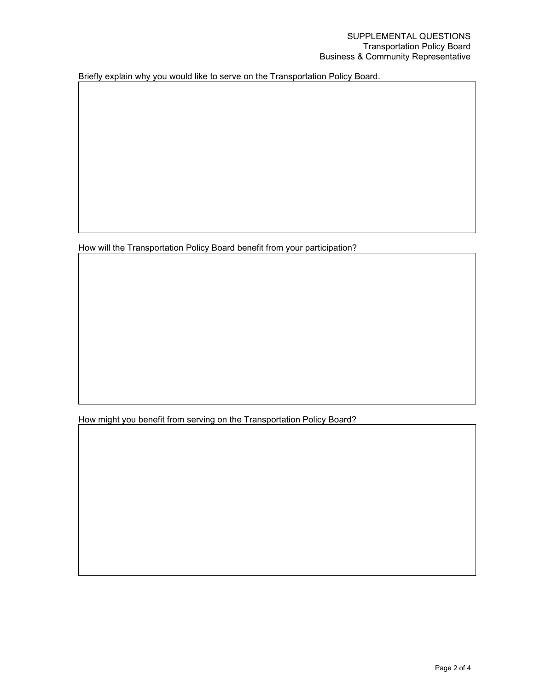Briefly explain why you would like to serve on the Transportation Policy Board.

How will the Transportation Policy Board benefit from your participation?

How might you benefit from serving on the Transportation Policy Board?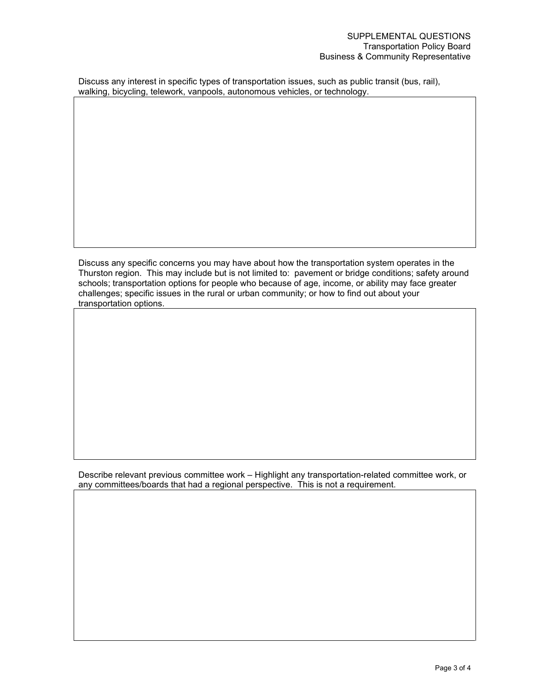Discuss any interest in specific types of transportation issues, such as public transit (bus, rail), walking, bicycling, telework, vanpools, autonomous vehicles, or technology.

Discuss any specific concerns you may have about how the transportation system operates in the Thurston region. This may include but is not limited to: pavement or bridge conditions; safety around schools; transportation options for people who because of age, income, or ability may face greater challenges; specific issues in the rural or urban community; or how to find out about your transportation options.

Describe relevant previous committee work – Highlight any transportation-related committee work, or any committees/boards that had a regional perspective. This is not a requirement.